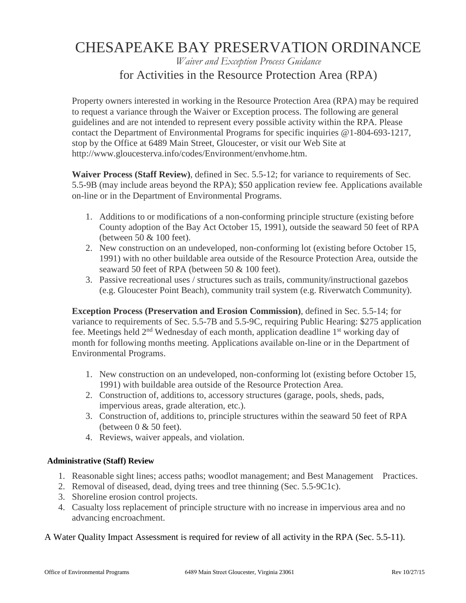# CHESAPEAKE BAY PRESERVATION ORDINANCE

### *Waiver and Exception Process Guidance* for Activities in the Resource Protection Area (RPA)

Property owners interested in working in the Resource Protection Area (RPA) may be required to request a variance through the Waiver or Exception process. The following are general guidelines and are not intended to represent every possible activity within the RPA. Please contact the Department of Environmental Programs for specific inquiries @1-804-693-1217, stop by the Office at 6489 Main Street, Gloucester, or visit our Web Site at http://www.gloucesterva.info/codes/Environment/envhome.htm.

**Waiver Process (Staff Review)**, defined in Sec. 5.5-12; for variance to requirements of Sec. 5.5-9B (may include areas beyond the RPA); \$50 application review fee. Applications available on-line or in the Department of Environmental Programs.

- 1. Additions to or modifications of a non-conforming principle structure (existing before County adoption of the Bay Act October 15, 1991), outside the seaward 50 feet of RPA (between 50 & 100 feet).
- 2. New construction on an undeveloped, non-conforming lot (existing before October 15, 1991) with no other buildable area outside of the Resource Protection Area, outside the seaward 50 feet of RPA (between 50 & 100 feet).
- 3. Passive recreational uses / structures such as trails, community/instructional gazebos (e.g. Gloucester Point Beach), community trail system (e.g. Riverwatch Community).

**Exception Process (Preservation and Erosion Commission)**, defined in Sec. 5.5-14; for variance to requirements of Sec. 5.5-7B and 5.5-9C, requiring Public Hearing: \$275 application fee. Meetings held  $2<sup>nd</sup>$  Wednesday of each month, application deadline  $1<sup>st</sup>$  working day of month for following months meeting. Applications available on-line or in the Department of Environmental Programs.

- 1. New construction on an undeveloped, non-conforming lot (existing before October 15, 1991) with buildable area outside of the Resource Protection Area.
- 2. Construction of, additions to, accessory structures (garage, pools, sheds, pads, impervious areas, grade alteration, etc.).
- 3. Construction of, additions to, principle structures within the seaward 50 feet of RPA (between  $0 \& 50$  feet).
- 4. Reviews, waiver appeals, and violation.

#### **Administrative (Staff) Review**

- 1. Reasonable sight lines; access paths; woodlot management; and Best Management Practices.
- 2. Removal of diseased, dead, dying trees and tree thinning (Sec. 5.5-9C1c).
- 3. Shoreline erosion control projects.
- 4. Casualty loss replacement of principle structure with no increase in impervious area and no advancing encroachment.

A Water Quality Impact Assessment is required for review of all activity in the RPA (Sec. 5.5-11).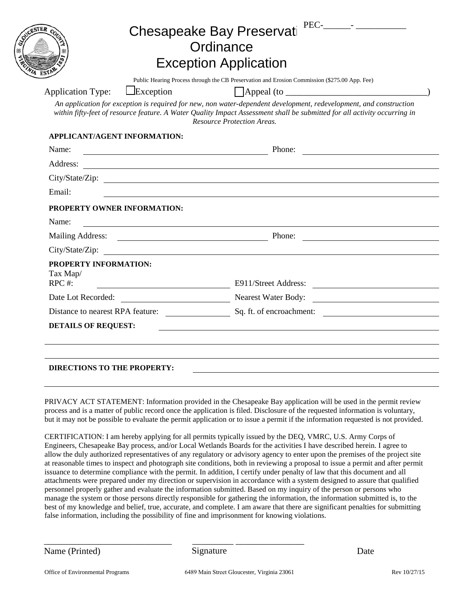|                                                      |                                                                            | <b>Chesapeake Bay Preservati</b><br>Ordinance<br><b>Exception Application</b>                                                                                                                                                                                                        |  |
|------------------------------------------------------|----------------------------------------------------------------------------|--------------------------------------------------------------------------------------------------------------------------------------------------------------------------------------------------------------------------------------------------------------------------------------|--|
| <b>Application Type:</b>                             | $L$ Exception                                                              | Public Hearing Process through the CB Preservation and Erosion Commission (\$275.00 App. Fee)<br>$\Box$ Appeal (to $\Box$                                                                                                                                                            |  |
|                                                      |                                                                            | An application for exception is required for new, non water-dependent development, redevelopment, and construction<br>within fifty-feet of resource feature. A Water Quality Impact Assessment shall be submitted for all activity occurring in<br><b>Resource Protection Areas.</b> |  |
| APPLICANT/AGENT INFORMATION:                         |                                                                            |                                                                                                                                                                                                                                                                                      |  |
| Name:                                                | Phone:<br><u> 1980 - Johann Barn, mars ar breithinn ar chuid ann an t-</u> |                                                                                                                                                                                                                                                                                      |  |
| Address:                                             |                                                                            |                                                                                                                                                                                                                                                                                      |  |
|                                                      |                                                                            | City/State/Zip:                                                                                                                                                                                                                                                                      |  |
| Email:                                               |                                                                            |                                                                                                                                                                                                                                                                                      |  |
| PROPERTY OWNER INFORMATION:<br>Name:                 |                                                                            |                                                                                                                                                                                                                                                                                      |  |
|                                                      |                                                                            | Mailing Address: Phone:                                                                                                                                                                                                                                                              |  |
| City/State/Zip:                                      |                                                                            |                                                                                                                                                                                                                                                                                      |  |
| <b>PROPERTY INFORMATION:</b><br>Tax Map/<br>$RPC$ #: |                                                                            | E911/Street Address:                                                                                                                                                                                                                                                                 |  |
| Date Lot Recorded:                                   |                                                                            | Nearest Water Body:                                                                                                                                                                                                                                                                  |  |
|                                                      |                                                                            | Distance to nearest RPA feature: Sq. ft. of encroachment:                                                                                                                                                                                                                            |  |
| <b>DETAILS OF REQUEST:</b>                           |                                                                            |                                                                                                                                                                                                                                                                                      |  |
|                                                      |                                                                            |                                                                                                                                                                                                                                                                                      |  |
|                                                      |                                                                            |                                                                                                                                                                                                                                                                                      |  |

PRIVACY ACT STATEMENT: Information provided in the Chesapeake Bay application will be used in the permit review process and is a matter of public record once the application is filed. Disclosure of the requested information is voluntary, but it may not be possible to evaluate the permit application or to issue a permit if the information requested is not provided.

CERTIFICATION: I am hereby applying for all permits typically issued by the DEQ, VMRC, U.S. Army Corps of Engineers, Chesapeake Bay process, and/or Local Wetlands Boards for the activities I have described herein. I agree to allow the duly authorized representatives of any regulatory or advisory agency to enter upon the premises of the project site at reasonable times to inspect and photograph site conditions, both in reviewing a proposal to issue a permit and after permit issuance to determine compliance with the permit. In addition, I certify under penalty of law that this document and all attachments were prepared under my direction or supervision in accordance with a system designed to assure that qualified personnel properly gather and evaluate the information submitted. Based on my inquiry of the person or persons who manage the system or those persons directly responsible for gathering the information, the information submitted is, to the best of my knowledge and belief, true, accurate, and complete. I am aware that there are significant penalties for submitting false information, including the possibility of fine and imprisonment for knowing violations.

Name (Printed) Signature Date

Signature

\_\_\_\_\_\_\_\_\_\_\_\_\_\_\_\_\_\_\_\_\_\_\_\_\_\_\_\_ \_\_\_\_\_\_\_\_\_ \_\_\_\_\_\_\_\_\_\_\_\_\_\_\_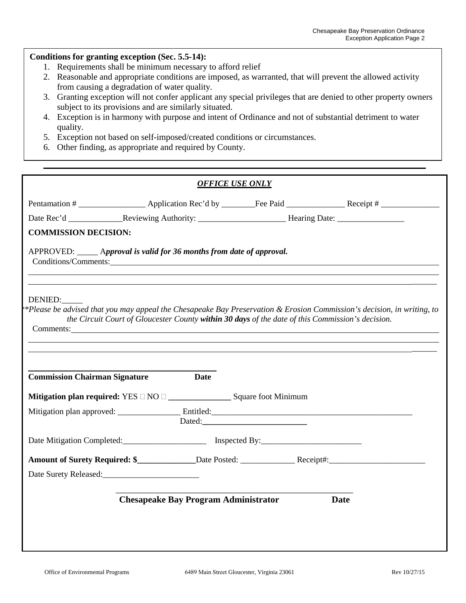#### **Conditions for granting exception (Sec. 5.5-14):**

- 1. Requirements shall be minimum necessary to afford relief
- 2. Reasonable and appropriate conditions are imposed, as warranted, that will prevent the allowed activity from causing a degradation of water quality.
- 3. Granting exception will not confer applicant any special privileges that are denied to other property owners subject to its provisions and are similarly situated.
- 4. Exception is in harmony with purpose and intent of Ordinance and not of substantial detriment to water quality.
- 5. Exception not based on self-imposed/created conditions or circumstances.
- 6. Other finding, as appropriate and required by County.

|                                                                                                                                                                                                                                                                                                          | <b>OFFICE USE ONLY</b>                      |        |                                                                                                                                                                                                                               |
|----------------------------------------------------------------------------------------------------------------------------------------------------------------------------------------------------------------------------------------------------------------------------------------------------------|---------------------------------------------|--------|-------------------------------------------------------------------------------------------------------------------------------------------------------------------------------------------------------------------------------|
|                                                                                                                                                                                                                                                                                                          |                                             |        |                                                                                                                                                                                                                               |
|                                                                                                                                                                                                                                                                                                          |                                             |        |                                                                                                                                                                                                                               |
| <b>COMMISSION DECISION:</b>                                                                                                                                                                                                                                                                              |                                             |        |                                                                                                                                                                                                                               |
| APPROVED: _____ Approval is valid for 36 months from date of approval.<br>Conditions/Comments: Conditions of Conditions of Conditions of Conditions of Conditions of Conditions of Conditions of Conditions of Conditions of Conditions of Conditions of Conditions of Conditions of Conditions of Condi |                                             |        |                                                                                                                                                                                                                               |
| DENIED:                                                                                                                                                                                                                                                                                                  |                                             |        | *Please be advised that you may appeal the Chesapeake Bay Preservation $\&$ Erosion Commission's decision, in writing, to<br>the Circuit Court of Gloucester County within 30 days of the date of this Commission's decision. |
| <b>Commission Chairman Signature</b>                                                                                                                                                                                                                                                                     | <b>Date</b>                                 |        |                                                                                                                                                                                                                               |
|                                                                                                                                                                                                                                                                                                          |                                             | Dated: |                                                                                                                                                                                                                               |
|                                                                                                                                                                                                                                                                                                          |                                             |        |                                                                                                                                                                                                                               |
|                                                                                                                                                                                                                                                                                                          |                                             |        |                                                                                                                                                                                                                               |
| Date Surety Released:<br><u>Letter and the surety relative surety relative</u> and the surface surface surface surface surface surface surface surface surface surface surface surface surface surface surface surface surface surfac                                                                    |                                             |        |                                                                                                                                                                                                                               |
|                                                                                                                                                                                                                                                                                                          | <b>Chesapeake Bay Program Administrator</b> |        | <b>Date</b>                                                                                                                                                                                                                   |
|                                                                                                                                                                                                                                                                                                          |                                             |        |                                                                                                                                                                                                                               |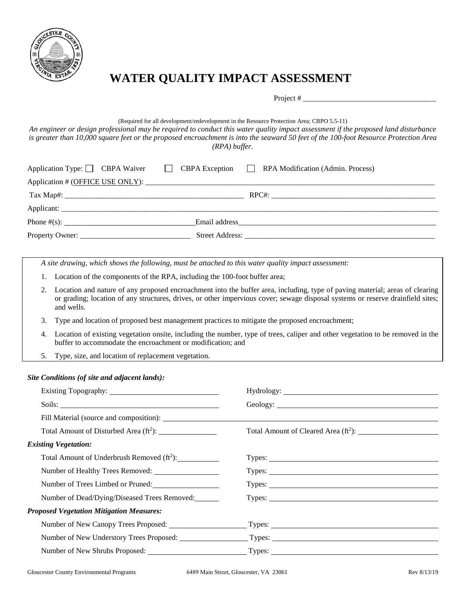

## **WATER QUALITY IMPACT ASSESSMENT**

Project #

#### (Required for all development/redevelopment in the Resource Protection Area; CBPO 5.5-11)

*An engineer or design professional may be required to conduct this water quality impact assessment if the proposed land disturbance is greater than 10,000 square feet or the proposed encroachment is into the seaward 50 feet of the 100-foot Resource Protection Area (RPA) buffer.*

|  | Application Type: CBPA Waiver CBPA Exception RPA Modification (Admin. Process) |
|--|--------------------------------------------------------------------------------|
|  |                                                                                |
|  |                                                                                |
|  |                                                                                |
|  |                                                                                |
|  |                                                                                |

*A site drawing, which shows the following, must be attached to this water quality impact assessment:*

- 1. Location of the components of the RPA, including the 100-foot buffer area;
- 2. Location and nature of any proposed encroachment into the buffer area, including, type of paving material; areas of clearing or grading; location of any structures, drives, or other impervious cover; sewage disposal systems or reserve drainfield sites; and wells.
- 3. Type and location of proposed best management practices to mitigate the proposed encroachment;
- 4. Location of existing vegetation onsite, including the number, type of trees, caliper and other vegetation to be removed in the buffer to accommodate the encroachment or modification; and
- 5. Type, size, and location of replacement vegetation.

#### *Site Conditions (of site and adjacent lands):*

| Types:                                                                                         |  |  |
|------------------------------------------------------------------------------------------------|--|--|
| Types:                                                                                         |  |  |
| Types: Types:                                                                                  |  |  |
|                                                                                                |  |  |
| Number of New Canopy Trees Proposed: Types: Types: Types: Number of New Canopy Trees Proposed: |  |  |
|                                                                                                |  |  |
|                                                                                                |  |  |
|                                                                                                |  |  |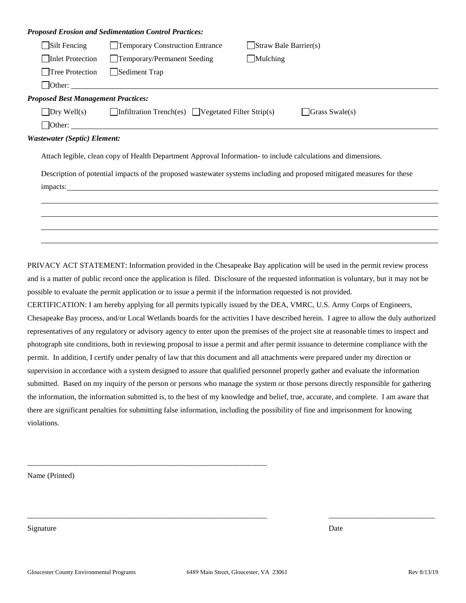|                                            | <b>Proposed Erosion and Sedimentation Control Practices:</b>                       |                                                                                                                         |
|--------------------------------------------|------------------------------------------------------------------------------------|-------------------------------------------------------------------------------------------------------------------------|
| $\Box$ Silt Fencing                        | Temporary Construction Entrance                                                    | $\Box$ Straw Bale Barrier(s)                                                                                            |
| Inlet Protection                           | Temporary/Permanent Seeding                                                        | Mulching                                                                                                                |
| □Tree Protection                           | Sediment Trap                                                                      |                                                                                                                         |
|                                            | $\Box$ Other:                                                                      |                                                                                                                         |
| <b>Proposed Best Management Practices:</b> |                                                                                    |                                                                                                                         |
|                                            | $\Box$ Dry Well(s) $\Box$ Infiltration Trench(es) $\Box$ Vegetated Filter Strip(s) | $\Box$ Grass Swale(s)                                                                                                   |
|                                            |                                                                                    |                                                                                                                         |
| <b>Wastewater (Septic) Element:</b>        |                                                                                    |                                                                                                                         |
|                                            |                                                                                    | Attach legible, clean copy of Health Department Approval Information- to include calculations and dimensions.           |
|                                            |                                                                                    | Description of potential impacts of the proposed wastewater systems including and proposed mitigated measures for these |
|                                            |                                                                                    |                                                                                                                         |
|                                            |                                                                                    |                                                                                                                         |
|                                            |                                                                                    |                                                                                                                         |
|                                            |                                                                                    |                                                                                                                         |
|                                            |                                                                                    |                                                                                                                         |

PRIVACY ACT STATEMENT: Information provided in the Chesapeake Bay application will be used in the permit review process and is a matter of public record once the application is filed. Disclosure of the requested information is voluntary, but it may not be possible to evaluate the permit application or to issue a permit if the information requested is not provided.

CERTIFICATION: I am hereby applying for all permits typically issued by the DEA, VMRC, U.S. Army Corps of Engineers, Chesapeake Bay process, and/or Local Wetlands boards for the activities I have described herein. I agree to allow the duly authorized representatives of any regulatory or advisory agency to enter upon the premises of the project site at reasonable times to inspect and photograph site conditions, both in reviewing proposal to issue a permit and after permit issuance to determine compliance with the permit. In addition, I certify under penalty of law that this document and all attachments were prepared under my direction or supervision in accordance with a system designed to assure that qualified personnel properly gather and evaluate the information submitted. Based on my inquiry of the person or persons who manage the system or those persons directly responsible for gathering the information, the information submitted is, to the best of my knowledge and belief, true, accurate, and complete. I am aware that there are significant penalties for submitting false information, including the possibility of fine and imprisonment for knowing violations.

Name (Printed)

Signature Date Date of the Date of the United States of the Date of the Date of the Date of the Date of the Date of the Date of the Date of the Date of the Date of the Date of the Date of the Date of the Date of the United

\_\_\_\_\_\_\_\_\_\_\_\_\_\_\_\_\_\_\_\_\_\_\_\_\_\_\_\_\_\_\_\_\_\_\_\_\_\_\_\_\_\_\_\_\_\_\_\_\_\_\_\_\_\_\_\_\_\_\_\_\_\_\_

\_\_\_\_\_\_\_\_\_\_\_\_\_\_\_\_\_\_\_\_\_\_\_\_\_\_\_\_\_\_\_\_\_\_\_\_\_\_\_\_\_\_\_\_\_\_\_\_\_\_\_\_\_\_\_\_\_\_\_\_\_\_\_ \_\_\_\_\_\_\_\_\_\_\_\_\_\_\_\_\_\_\_\_\_\_\_\_\_\_\_\_